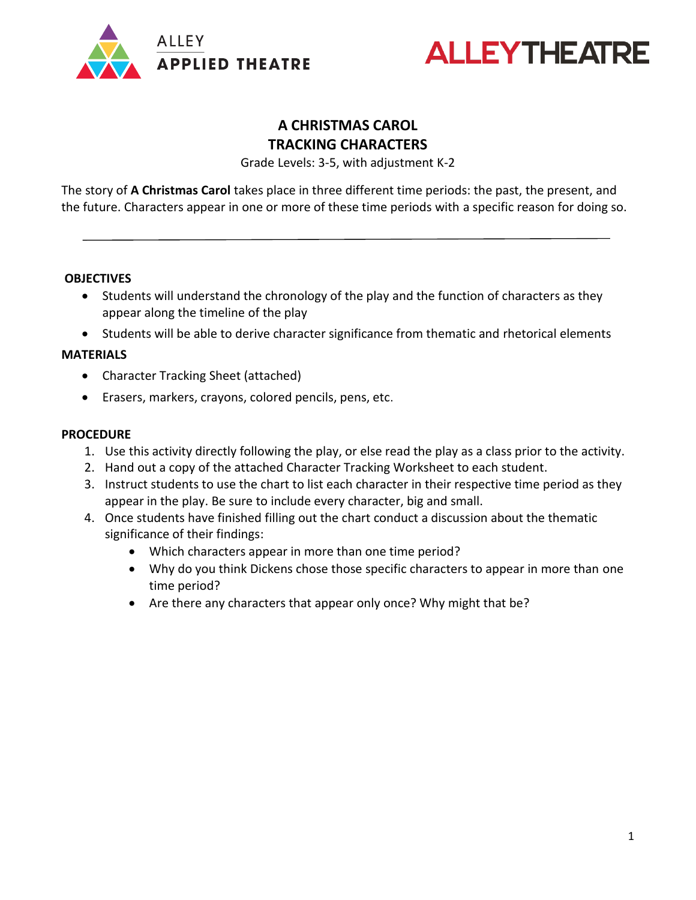



### **A CHRISTMAS CAROL TRACKING CHARACTERS**

Grade Levels: 3-5, with adjustment K-2

The story of **A Christmas Carol** takes place in three different time periods: the past, the present, and the future. Characters appear in one or more of these time periods with a specific reason for doing so.

#### **OBJECTIVES**

- Students will understand the chronology of the play and the function of characters as they appear along the timeline of the play
- Students will be able to derive character significance from thematic and rhetorical elements

#### **MATERIALS**

- Character Tracking Sheet (attached)
- Erasers, markers, crayons, colored pencils, pens, etc.

#### **PROCEDURE**

- 1. Use this activity directly following the play, or else read the play as a class prior to the activity.
- 2. Hand out a copy of the attached Character Tracking Worksheet to each student.
- 3. Instruct students to use the chart to list each character in their respective time period as they appear in the play. Be sure to include every character, big and small.
- 4. Once students have finished filling out the chart conduct a discussion about the thematic significance of their findings:
	- Which characters appear in more than one time period?
	- Why do you think Dickens chose those specific characters to appear in more than one time period?
	- Are there any characters that appear only once? Why might that be?